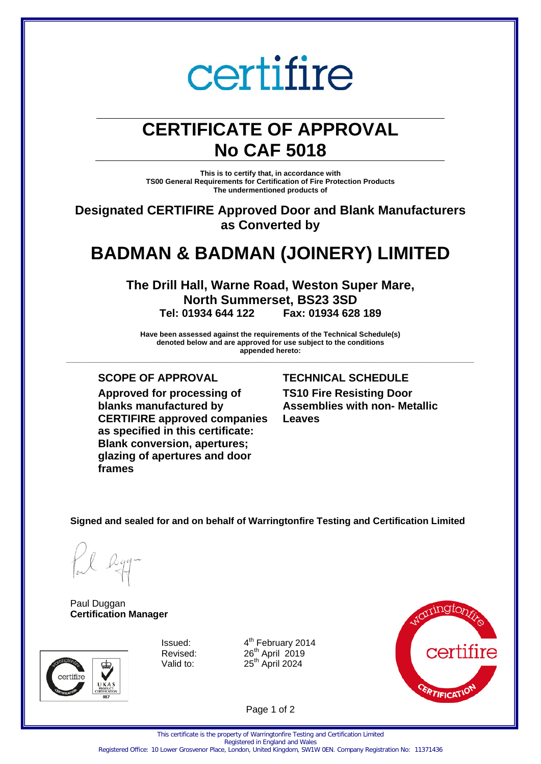# certifire

## **CERTIFICATE OF APPROVAL No CAF 5018**

**This is to certify that, in accordance with TS00 General Requirements for Certification of Fire Protection Products The undermentioned products of**

**Designated CERTIFIRE Approved Door and Blank Manufacturers as Converted by**

## **BADMAN & BADMAN (JOINERY) LIMITED**

**The Drill Hall, Warne Road, Weston Super Mare, North Summerset, BS23 3SD**<br>Tel: 01934 644 122 Fax: 01934 628 **Tel: 01934 644 122 Fax: 01934 628 189**

**Have been assessed against the requirements of the Technical Schedule(s) denoted below and are approved for use subject to the conditions appended hereto:**

**\_\_\_\_\_\_\_\_\_\_\_\_\_\_\_\_\_\_\_\_\_\_\_\_\_\_\_\_\_\_\_\_\_\_\_\_\_\_\_\_\_\_\_\_\_\_\_\_\_\_\_\_\_\_\_\_\_\_\_\_\_\_\_\_\_\_\_\_\_\_\_\_\_\_\_\_\_\_\_\_\_\_\_\_\_\_\_\_\_\_\_\_\_\_\_\_\_\_\_\_\_**

**Approved for processing of blanks manufactured by CERTIFIRE approved companies as specified in this certificate: Blank conversion, apertures; glazing of apertures and door frames**

### **SCOPE OF APPROVAL TECHNICAL SCHEDULE**

**TS10 Fire Resisting Door Assemblies with non- Metallic Leaves**

**Signed and sealed for and on behalf of Warringtonfire Testing and Certification Limited**

Paul Duggan **Certification Manager**



Issued:  $4^{th}$  February 2014<br>Revised:  $26^{th}$  April 2019  $26<sup>th</sup>$  April  $2019$ Valid to:  $25<sup>th</sup>$  April 2024



Page 1 of 2

Registered Office: 10 Lower Grosvenor Place, London, United Kingdom, SW1W 0EN. Company Registration No: 11371436